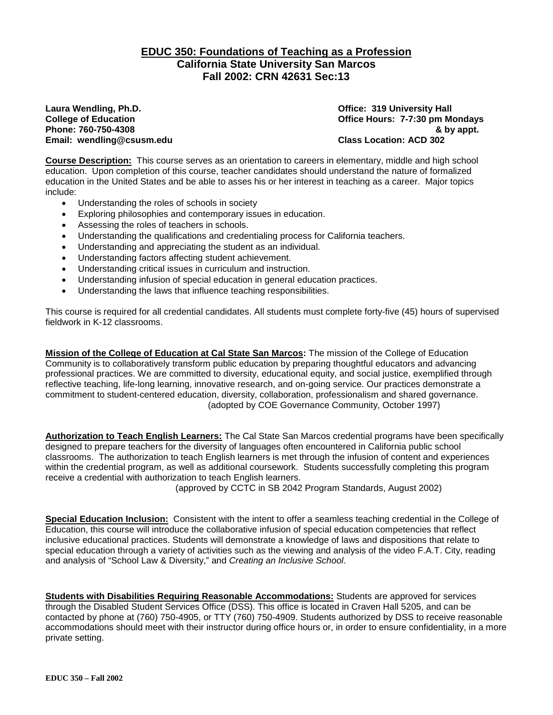### **EDUC 350: Foundations of Teaching as a Profession California State University San Marcos Fall 2002: CRN 42631 Sec:13**

**Laura Wendling, Ph.D. Office: 319 University Hall Phone: 760-750-4308 & by appt. Email: wendling@csusm.edu** 

**Chice Hours: 7-7:30 pm Mondays**<br>& by appt.

**Course Description:** This course serves as an orientation to careers in elementary, middle and high school education. Upon completion of this course, teacher candidates should understand the nature of formalized education in the United States and be able to asses his or her interest in teaching as a career. Major topics include:

- Understanding the roles of schools in society
- Exploring philosophies and contemporary issues in education.
- Assessing the roles of teachers in schools.
- Understanding the qualifications and credentialing process for California teachers.
- Understanding and appreciating the student as an individual.
- Understanding factors affecting student achievement.
- Understanding critical issues in curriculum and instruction.
- Understanding infusion of special education in general education practices.
- Understanding the laws that influence teaching responsibilities.

This course is required for all credential candidates. All students must complete forty-five (45) hours of supervised fieldwork in K-12 classrooms.

**Mission of the College of Education at Cal State San Marcos:** The mission of the College of Education Community is to collaboratively transform public education by preparing thoughtful educators and advancing professional practices. We are committed to diversity, educational equity, and social justice, exemplified through reflective teaching, life-long learning, innovative research, and on-going service. Our practices demonstrate a commitment to student-centered education, diversity, collaboration, professionalism and shared governance. (adopted by COE Governance Community, October 1997)

**Authorization to Teach English Learners:** The Cal State San Marcos credential programs have been specifically designed to prepare teachers for the diversity of languages often encountered in California public school classrooms. The authorization to teach English learners is met through the infusion of content and experiences within the credential program, as well as additional coursework. Students successfully completing this program receive a credential with authorization to teach English learners.

(approved by CCTC in SB 2042 Program Standards, August 2002)

**Special Education Inclusion:** Consistent with the intent to offer a seamless teaching credential in the College of Education, this course will introduce the collaborative infusion of special education competencies that reflect inclusive educational practices. Students will demonstrate a knowledge of laws and dispositions that relate to special education through a variety of activities such as the viewing and analysis of the video F.A.T. City, reading and analysis of "School Law & Diversity," and *Creating an Inclusive School*.

**Students with Disabilities Requiring Reasonable Accommodations:** Students are approved for services through the Disabled Student Services Office (DSS). This office is located in Craven Hall 5205, and can be contacted by phone at (760) 750-4905, or TTY (760) 750-4909. Students authorized by DSS to receive reasonable accommodations should meet with their instructor during office hours or, in order to ensure confidentiality, in a more private setting.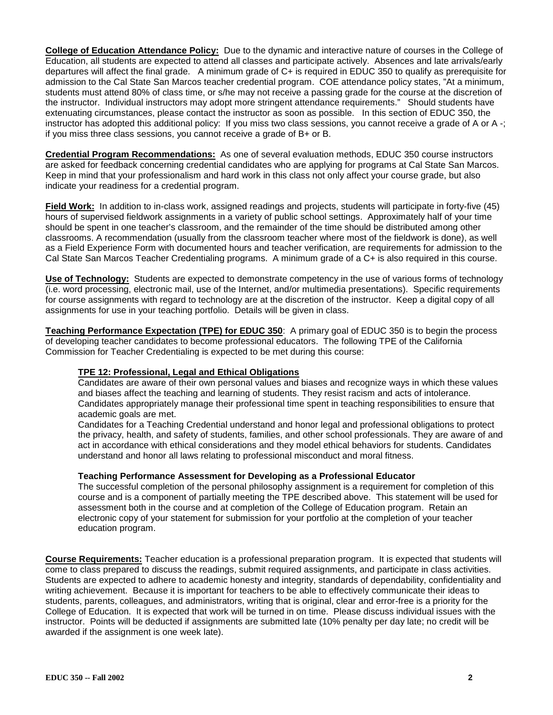**College of Education Attendance Policy:** Due to the dynamic and interactive nature of courses in the College of Education, all students are expected to attend all classes and participate actively. Absences and late arrivals/early departures will affect the final grade. A minimum grade of C+ is required in EDUC 350 to qualify as prerequisite for admission to the Cal State San Marcos teacher credential program. COE attendance policy states, "At a minimum, students must attend 80% of class time, or s/he may not receive a passing grade for the course at the discretion of the instructor. Individual instructors may adopt more stringent attendance requirements." Should students have extenuating circumstances, please contact the instructor as soon as possible. In this section of EDUC 350, the instructor has adopted this additional policy: If you miss two class sessions, you cannot receive a grade of A or A -; if you miss three class sessions, you cannot receive a grade of B+ or B.

**Credential Program Recommendations:** As one of several evaluation methods, EDUC 350 course instructors are asked for feedback concerning credential candidates who are applying for programs at Cal State San Marcos. Keep in mind that your professionalism and hard work in this class not only affect your course grade, but also indicate your readiness for a credential program.

**Field Work:** In addition to in-class work, assigned readings and projects, students will participate in forty-five (45) hours of supervised fieldwork assignments in a variety of public school settings. Approximately half of your time should be spent in one teacher's classroom, and the remainder of the time should be distributed among other classrooms. A recommendation (usually from the classroom teacher where most of the fieldwork is done), as well as a Field Experience Form with documented hours and teacher verification, are requirements for admission to the Cal State San Marcos Teacher Credentialing programs. A minimum grade of a C+ is also required in this course.

**Use of Technology:** Students are expected to demonstrate competency in the use of various forms of technology (i.e. word processing, electronic mail, use of the Internet, and/or multimedia presentations). Specific requirements for course assignments with regard to technology are at the discretion of the instructor. Keep a digital copy of all assignments for use in your teaching portfolio. Details will be given in class.

**Teaching Performance Expectation (TPE) for EDUC 350**: A primary goal of EDUC 350 is to begin the process of developing teacher candidates to become professional educators. The following TPE of the California Commission for Teacher Credentialing is expected to be met during this course:

### **TPE 12: Professional, Legal and Ethical Obligations**

Candidates are aware of their own personal values and biases and recognize ways in which these values and biases affect the teaching and learning of students. They resist racism and acts of intolerance. Candidates appropriately manage their professional time spent in teaching responsibilities to ensure that academic goals are met.

Candidates for a Teaching Credential understand and honor legal and professional obligations to protect the privacy, health, and safety of students, families, and other school professionals. They are aware of and act in accordance with ethical considerations and they model ethical behaviors for students. Candidates understand and honor all laws relating to professional misconduct and moral fitness.

### **Teaching Performance Assessment for Developing as a Professional Educator**

The successful completion of the personal philosophy assignment is a requirement for completion of this course and is a component of partially meeting the TPE described above. This statement will be used for assessment both in the course and at completion of the College of Education program. Retain an electronic copy of your statement for submission for your portfolio at the completion of your teacher education program.

**Course Requirements:** Teacher education is a professional preparation program. It is expected that students will come to class prepared to discuss the readings, submit required assignments, and participate in class activities. Students are expected to adhere to academic honesty and integrity, standards of dependability, confidentiality and writing achievement. Because it is important for teachers to be able to effectively communicate their ideas to students, parents, colleagues, and administrators, writing that is original, clear and error-free is a priority for the College of Education. It is expected that work will be turned in on time. Please discuss individual issues with the instructor. Points will be deducted if assignments are submitted late (10% penalty per day late; no credit will be awarded if the assignment is one week late).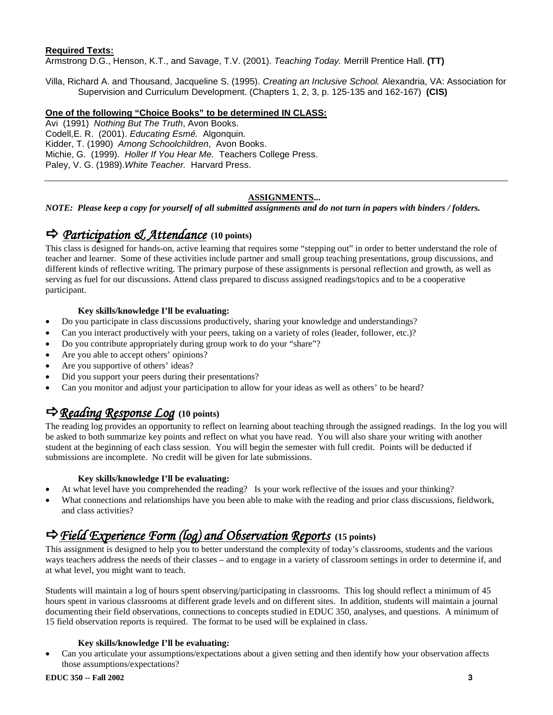### **Required Texts:**

Armstrong D.G., Henson, K.T., and Savage, T.V. (2001). *Teaching Today.* Merrill Prentice Hall. **(TT)**

Villa, Richard A. and Thousand, Jacqueline S. (1995). *Creating an Inclusive School.* Alexandria, VA: Association for Supervision and Curriculum Development. (Chapters 1, 2, 3, p. 125-135 and 162-167) **(CIS)**

### **One of the following "Choice Books" to be determined IN CLASS:**

Avi (1991) *Nothing But The Truth*, Avon Books. Codell,E. R. (2001). *Educating Esmé.* Algonquin. Kidder, T. (1990) *Among Schoolchildren*, Avon Books. Michie, G. (1999). *Holler If You Hear Me.* Teachers College Press. Paley, V. G. (1989).*White Teacher.* Harvard Press.

### **ASSIGNMENTS...**

*NOTE: Please keep a copy for yourself of all submitted assignments and do not turn in papers with binders / folders.*

# *Participation & Attendance* **(10 points)**

This class is designed for hands-on, active learning that requires some "stepping out" in order to better understand the role of teacher and learner. Some of these activities include partner and small group teaching presentations, group discussions, and different kinds of reflective writing. The primary purpose of these assignments is personal reflection and growth, as well as serving as fuel for our discussions. Attend class prepared to discuss assigned readings/topics and to be a cooperative participant.

### **Key skills/knowledge I'll be evaluating:**

- Do you participate in class discussions productively, sharing your knowledge and understandings?
- Can you interact productively with your peers, taking on a variety of roles (leader, follower, etc.)?
- Do you contribute appropriately during group work to do your "share"?
- Are you able to accept others' opinions?
- Are you supportive of others' ideas?
- Did you support your peers during their presentations?
- Can you monitor and adjust your participation to allow for your ideas as well as others' to be heard?

## *Reading Response Log* **(10 points)**

The reading log provides an opportunity to reflect on learning about teaching through the assigned readings. In the log you will be asked to both summarize key points and reflect on what you have read. You will also share your writing with another student at the beginning of each class session. You will begin the semester with full credit. Points will be deducted if submissions are incomplete. No credit will be given for late submissions.

### **Key skills/knowledge I'll be evaluating:**

- At what level have you comprehended the reading? Is your work reflective of the issues and your thinking?
- What connections and relationships have you been able to make with the reading and prior class discussions, fieldwork, and class activities?

## *Field Experience Form (log) and Observation Reports* **(15 points)**

This assignment is designed to help you to better understand the complexity of today's classrooms, students and the various ways teachers address the needs of their classes – and to engage in a variety of classroom settings in order to determine if, and at what level, you might want to teach.

Students will maintain a log of hours spent observing/participating in classrooms. This log should reflect a minimum of 45 hours spent in various classrooms at different grade levels and on different sites. In addition, students will maintain a journal documenting their field observations, connections to concepts studied in EDUC 350, analyses, and questions. A minimum of 15 field observation reports is required. The format to be used will be explained in class.

### **Key skills/knowledge I'll be evaluating:**

• Can you articulate your assumptions/expectations about a given setting and then identify how your observation affects those assumptions/expectations?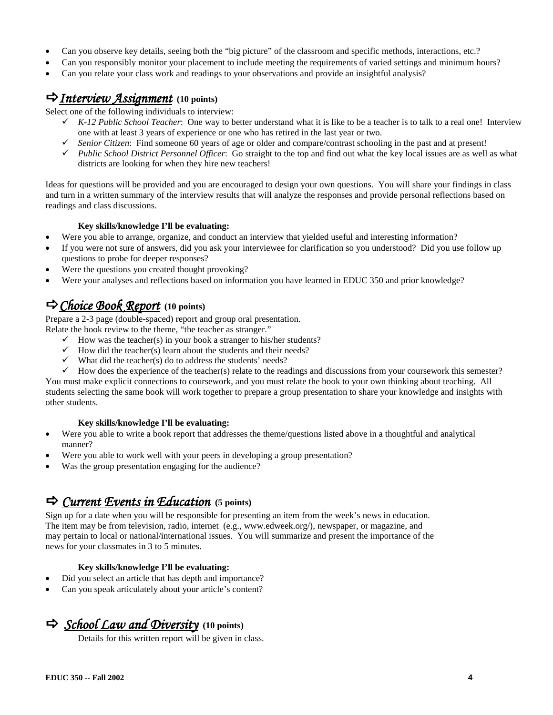- Can you observe key details, seeing both the "big picture" of the classroom and specific methods, interactions, etc.?
- Can you responsibly monitor your placement to include meeting the requirements of varied settings and minimum hours?
- Can you relate your class work and readings to your observations and provide an insightful analysis?

### *Interview Assignment* **(10 points)**

Select one of the following individuals to interview:

- $\checkmark$  K-12 Public School Teacher: One way to better understand what it is like to be a teacher is to talk to a real one! Interview one with at least 3 years of experience or one who has retired in the last year or two.
- $\checkmark$  Senior Citizen: Find someone 60 years of age or older and compare/contrast schooling in the past and at present!
- *Public School District Personnel Officer*: Go straight to the top and find out what the key local issues are as well as what districts are looking for when they hire new teachers!

Ideas for questions will be provided and you are encouraged to design your own questions. You will share your findings in class and turn in a written summary of the interview results that will analyze the responses and provide personal reflections based on readings and class discussions.

### **Key skills/knowledge I'll be evaluating:**

- Were you able to arrange, organize, and conduct an interview that yielded useful and interesting information?
- If you were not sure of answers, did you ask your interviewee for clarification so you understood? Did you use follow up questions to probe for deeper responses?
- Were the questions you created thought provoking?
- Were your analyses and reflections based on information you have learned in EDUC 350 and prior knowledge?

## *Choice Book Report* **(10 points)**

Prepare a 2-3 page (double-spaced) report and group oral presentation.

Relate the book review to the theme, "the teacher as stranger."

- $\checkmark$  How was the teacher(s) in your book a stranger to his/her students?
- $\checkmark$  How did the teacher(s) learn about the students and their needs?
- $\checkmark$  What did the teacher(s) do to address the students' needs?
- $\checkmark$  How does the experience of the teacher(s) relate to the readings and discussions from your coursework this semester?

You must make explicit connections to coursework, and you must relate the book to your own thinking about teaching. All students selecting the same book will work together to prepare a group presentation to share your knowledge and insights with other students.

### **Key skills/knowledge I'll be evaluating:**

- Were you able to write a book report that addresses the theme/questions listed above in a thoughtful and analytical manner?
- Were you able to work well with your peers in developing a group presentation?
- Was the group presentation engaging for the audience?

### *Current Events in Education* **(5 points)**

Sign up for a date when you will be responsible for presenting an item from the week's news in education. The item may be from television, radio, internet (e.g., www.edweek.org/), newspaper, or magazine, and may pertain to local or national/international issues. You will summarize and present the importance of the news for your classmates in 3 to 5 minutes.

### **Key skills/knowledge I'll be evaluating:**

- Did you select an article that has depth and importance?
- Can you speak articulately about your article's content?

*School Law and Diversity* **(10 points)**

Details for this written report will be given in class.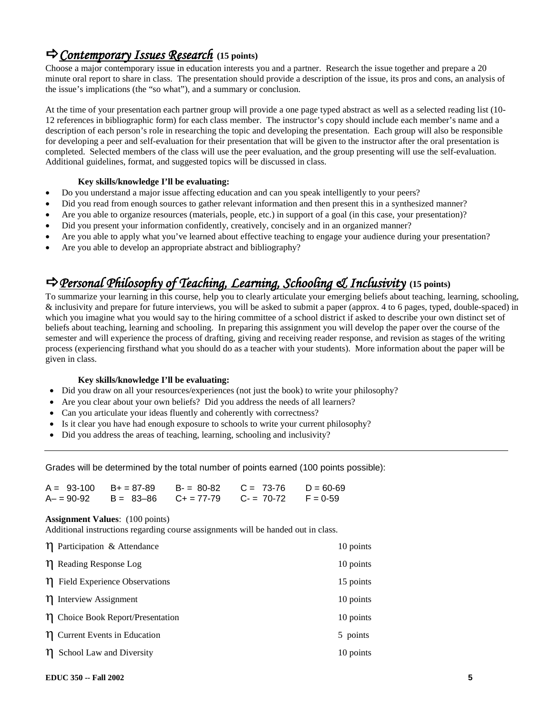## *Contemporary Issues Research* **(15 points)**

Choose a major contemporary issue in education interests you and a partner. Research the issue together and prepare a 20 minute oral report to share in class. The presentation should provide a description of the issue, its pros and cons, an analysis of the issue's implications (the "so what"), and a summary or conclusion.

At the time of your presentation each partner group will provide a one page typed abstract as well as a selected reading list (10- 12 references in bibliographic form) for each class member. The instructor's copy should include each member's name and a description of each person's role in researching the topic and developing the presentation. Each group will also be responsible for developing a peer and self-evaluation for their presentation that will be given to the instructor after the oral presentation is completed. Selected members of the class will use the peer evaluation, and the group presenting will use the self-evaluation. Additional guidelines, format, and suggested topics will be discussed in class.

### **Key skills/knowledge I'll be evaluating:**

- Do you understand a major issue affecting education and can you speak intelligently to your peers?
- Did you read from enough sources to gather relevant information and then present this in a synthesized manner?
- Are you able to organize resources (materials, people, etc.) in support of a goal (in this case, your presentation)?
- Did you present your information confidently, creatively, concisely and in an organized manner?
- Are you able to apply what you've learned about effective teaching to engage your audience during your presentation?
- Are you able to develop an appropriate abstract and bibliography?

## *Personal Philosophy of Teaching, Learning, Schooling & Inclusivity* **(15 points)**

To summarize your learning in this course, help you to clearly articulate your emerging beliefs about teaching, learning, schooling, & inclusivity and prepare for future interviews, you will be asked to submit a paper (approx. 4 to 6 pages, typed, double-spaced) in which you imagine what you would say to the hiring committee of a school district if asked to describe your own distinct set of beliefs about teaching, learning and schooling. In preparing this assignment you will develop the paper over the course of the semester and will experience the process of drafting, giving and receiving reader response, and revision as stages of the writing process (experiencing firsthand what you should do as a teacher with your students). More information about the paper will be given in class.

### **Key skills/knowledge I'll be evaluating:**

- Did you draw on all your resources/experiences (not just the book) to write your philosophy?
- Are you clear about your own beliefs? Did you address the needs of all learners?
- Can you articulate your ideas fluently and coherently with correctness?
- Is it clear you have had enough exposure to schools to write your current philosophy?
- Did you address the areas of teaching, learning, schooling and inclusivity?

Grades will be determined by the total number of points earned (100 points possible):

|  | $A = 93-100$ B+ = 87-89 B- = 80-82 C = 73-76 D = 60-69  |  |
|--|---------------------------------------------------------|--|
|  | $A- = 90-92$ B = 83-86 C + = 77-79 C - = 70-72 F = 0-59 |  |

#### **Assignment Values**: (100 points)

Additional instructions regarding course assignments will be handed out in class.

| $\eta$ Participation & Attendance      | 10 points |
|----------------------------------------|-----------|
| $\eta$ Reading Response Log            | 10 points |
| n Field Experience Observations        | 15 points |
| η Interview Assignment                 | 10 points |
| $\eta$ Choice Book Report/Presentation | 10 points |
| $\eta$ Current Events in Education     | 5 points  |
| School Law and Diversity<br>ΊI         | 10 points |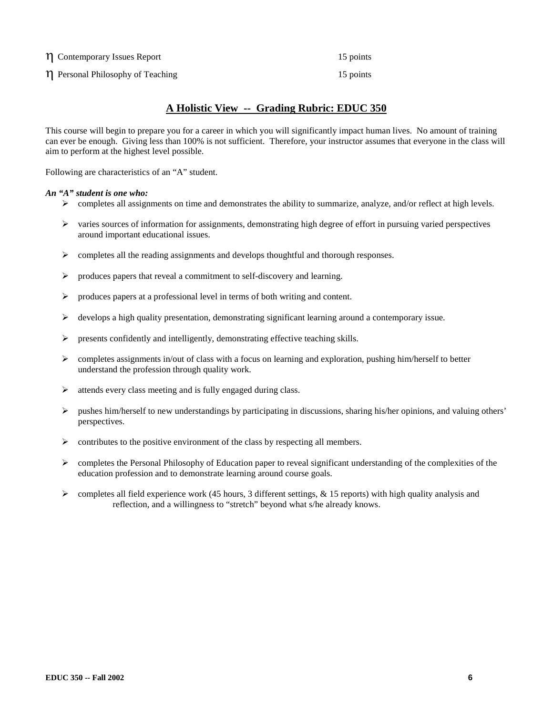η Contemporary Issues Report 15 points

η Personal Philosophy of Teaching 15 points 15 points

### **A Holistic View -- Grading Rubric: EDUC 350**

This course will begin to prepare you for a career in which you will significantly impact human lives. No amount of training can ever be enough. Giving less than 100% is not sufficient. Therefore, your instructor assumes that everyone in the class will aim to perform at the highest level possible.

Following are characteristics of an "A" student.

#### *An "A" student is one who:*

- $\triangleright$  completes all assignments on time and demonstrates the ability to summarize, analyze, and/or reflect at high levels.
- $\triangleright$  varies sources of information for assignments, demonstrating high degree of effort in pursuing varied perspectives around important educational issues.
- $\triangleright$  completes all the reading assignments and develops thoughtful and thorough responses.
- $\triangleright$  produces papers that reveal a commitment to self-discovery and learning.
- $\triangleright$  produces papers at a professional level in terms of both writing and content.
- $\triangleright$  develops a high quality presentation, demonstrating significant learning around a contemporary issue.
- presents confidently and intelligently, demonstrating effective teaching skills.
- $\triangleright$  completes assignments in/out of class with a focus on learning and exploration, pushing him/herself to better understand the profession through quality work.
- $\triangleright$  attends every class meeting and is fully engaged during class.
- $\triangleright$  pushes him/herself to new understandings by participating in discussions, sharing his/her opinions, and valuing others' perspectives.
- $\triangleright$  contributes to the positive environment of the class by respecting all members.
- $\triangleright$  completes the Personal Philosophy of Education paper to reveal significant understanding of the complexities of the education profession and to demonstrate learning around course goals.
- $\triangleright$  completes all field experience work (45 hours, 3 different settings, & 15 reports) with high quality analysis and reflection, and a willingness to "stretch" beyond what s/he already knows.